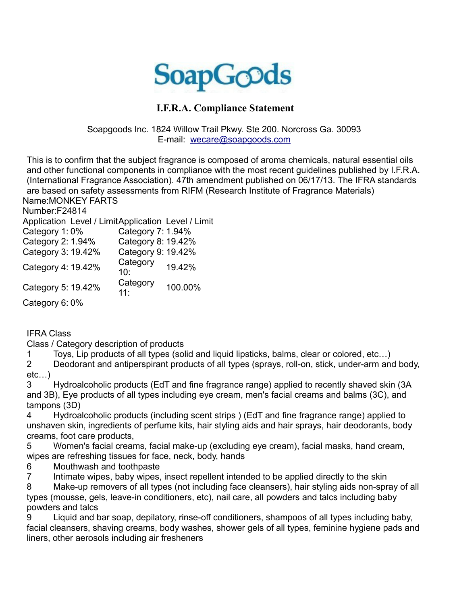

## **I.F.R.A. Compliance Statement**

Soapgoods Inc. 1824 Willow Trail Pkwy. Ste 200. Norcross Ga. 30093 E-mail: [wecare@soapgoods.com](mailto:wecare@soapgoods.com)

This is to confirm that the subject fragrance is composed of aroma chemicals, natural essential oils and other functional components in compliance with the most recent guidelines published by I.F.R.A. (International Fragrance Association). 47th amendment published on 06/17/13. The IFRA standards are based on safety assessments from RIFM (Research Institute of Fragrance Materials) Name:MONKEY FARTS

Number:F24814

Application Level / LimitApplication Level / Limit

| Category 1:0%      | Category 7: 1.94%  |         |
|--------------------|--------------------|---------|
| Category 2: 1.94%  | Category 8: 19.42% |         |
| Category 3: 19.42% | Category 9: 19.42% |         |
| Category 4: 19.42% | Category<br>10:    | 19.42%  |
| Category 5: 19.42% | Category<br>11:    | 100.00% |
| Category 6:0%      |                    |         |

IFRA Class

Class / Category description of products

1 Toys, Lip products of all types (solid and liquid lipsticks, balms, clear or colored, etc…)

2 Deodorant and antiperspirant products of all types (sprays, roll-on, stick, under-arm and body, etc…)

3 Hydroalcoholic products (EdT and fine fragrance range) applied to recently shaved skin (3A and 3B), Eye products of all types including eye cream, men's facial creams and balms (3C), and tampons (3D)

4 Hydroalcoholic products (including scent strips ) (EdT and fine fragrance range) applied to unshaven skin, ingredients of perfume kits, hair styling aids and hair sprays, hair deodorants, body creams, foot care products,

5 Women's facial creams, facial make-up (excluding eye cream), facial masks, hand cream, wipes are refreshing tissues for face, neck, body, hands

6 Mouthwash and toothpaste

7 Intimate wipes, baby wipes, insect repellent intended to be applied directly to the skin

8 Make-up removers of all types (not including face cleansers), hair styling aids non-spray of all types (mousse, gels, leave-in conditioners, etc), nail care, all powders and talcs including baby powders and talcs

9 Liquid and bar soap, depilatory, rinse-off conditioners, shampoos of all types including baby, facial cleansers, shaving creams, body washes, shower gels of all types, feminine hygiene pads and liners, other aerosols including air fresheners